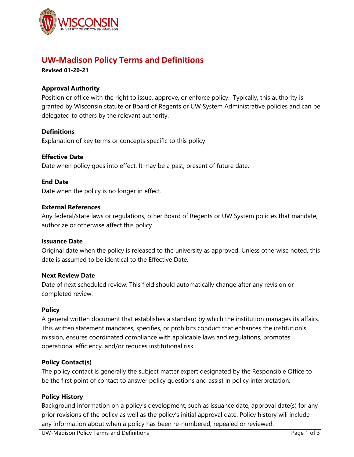

# **UW-Madison Policy Terms and Definitions**

**Revised 01-20-21**

# **Approval Authority**

Position or office with the right to issue, approve, or enforce policy. Typically, this authority is granted by Wisconsin statute or Board of Regents or UW System Administrative policies and can be delegated to others by the relevant authority.

# **Definitions**

Explanation of key terms or concepts specific to this policy

## **Effective Date**

Date when policy goes into effect. It may be a past, present of future date.

## **End Date**

Date when the policy is no longer in effect.

## **External References**

Any federal/state laws or regulations, other Board of Regents or UW System policies that mandate, authorize or otherwise affect this policy.

## **Issuance Date**

Original date when the policy is released to the university as approved. Unless otherwise noted, this date is assumed to be identical to the Effective Date.

## **Next Review Date**

Date of next scheduled review. This field should automatically change after any revision or completed review.

## **Policy**

A general written document that establishes a standard by which the institution manages its affairs. This written statement mandates, specifies, or prohibits conduct that enhances the institution's mission, ensures coordinated compliance with applicable laws and regulations, promotes operational efficiency, and/or reduces institutional risk.

# **Policy Contact(s)**

The policy contact is generally the subject matter expert designated by the Responsible Office to be the first point of contact to answer policy questions and assist in policy interpretation.

# **Policy History**

Background information on a policy's development, such as issuance date, approval date(s) for any prior revisions of the policy as well as the policy's initial approval date. Policy history will include any information about when a policy has been re-numbered, repealed or reviewed.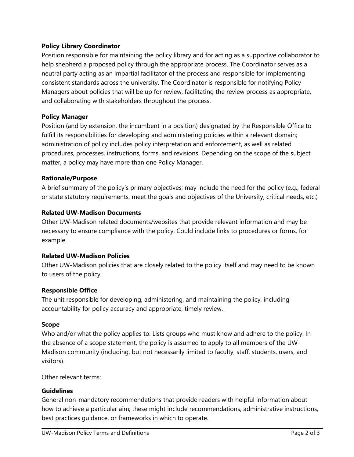# **Policy Library Coordinator**

Position responsible for maintaining the policy library and for acting as a supportive collaborator to help shepherd a proposed policy through the appropriate process. The Coordinator serves as a neutral party acting as an impartial facilitator of the process and responsible for implementing consistent standards across the university. The Coordinator is responsible for notifying Policy Managers about policies that will be up for review, facilitating the review process as appropriate, and collaborating with stakeholders throughout the process.

# **Policy Manager**

Position (and by extension, the incumbent in a position) designated by the Responsible Office to fulfill its responsibilities for developing and administering policies within a relevant domain; administration of policy includes policy interpretation and enforcement, as well as related procedures, processes, instructions, forms, and revisions. Depending on the scope of the subject matter, a policy may have more than one Policy Manager.

## **Rationale/Purpose**

A brief summary of the policy's primary objectives; may include the need for the policy (e.g., federal or state statutory requirements, meet the goals and objectives of the University, critical needs, etc.)

## **Related UW-Madison Documents**

Other UW-Madison related documents/websites that provide relevant information and may be necessary to ensure compliance with the policy. Could include links to procedures or forms, for example.

## **Related UW-Madison Policies**

Other UW-Madison policies that are closely related to the policy itself and may need to be known to users of the policy.

# **Responsible Office**

The unit responsible for developing, administering, and maintaining the policy, including accountability for policy accuracy and appropriate, timely review.

## **Scope**

Who and/or what the policy applies to: Lists groups who must know and adhere to the policy. In the absence of a scope statement, the policy is assumed to apply to all members of the UW-Madison community (including, but not necessarily limited to faculty, staff, students, users, and visitors).

## Other relevant terms:

## **Guidelines**

General non-mandatory recommendations that provide readers with helpful information about how to achieve a particular aim; these might include recommendations, administrative instructions, best practices guidance, or frameworks in which to operate.